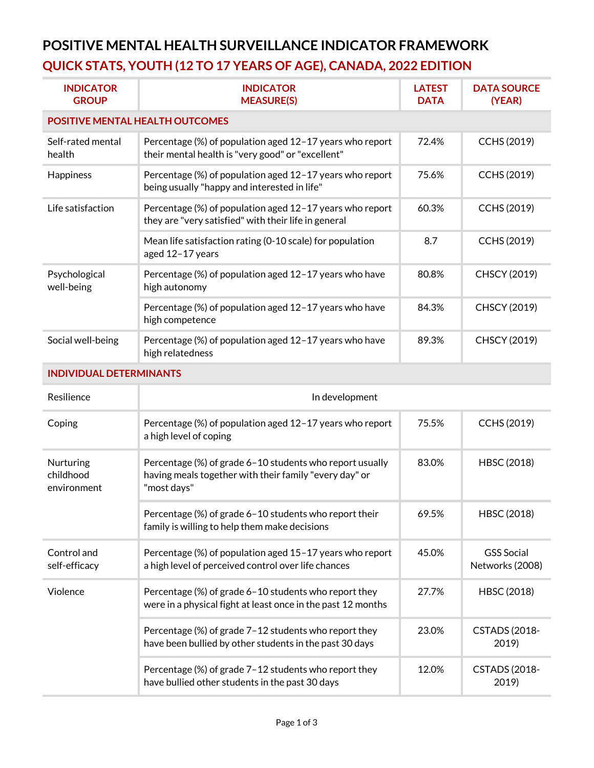## **POSITIVE MENTAL HEALTH SURVEILLANCE INDICATOR FRAMEWORK QUICK STATS, YOUTH (12 TO 17 YEARS OF AGE), CANADA, 2022 EDITION**

| <b>INDICATOR</b><br><b>GROUP</b>       | <b>INDICATOR</b><br><b>MEASURE(S)</b>                                                                                             | <b>LATEST</b><br><b>DATA</b> | <b>DATA SOURCE</b><br>(YEAR)         |  |  |
|----------------------------------------|-----------------------------------------------------------------------------------------------------------------------------------|------------------------------|--------------------------------------|--|--|
| <b>POSITIVE MENTAL HEALTH OUTCOMES</b> |                                                                                                                                   |                              |                                      |  |  |
| Self-rated mental<br>health            | Percentage (%) of population aged 12-17 years who report<br>their mental health is "very good" or "excellent"                     | 72.4%                        | <b>CCHS (2019)</b>                   |  |  |
| Happiness                              | Percentage (%) of population aged 12-17 years who report<br>being usually "happy and interested in life"                          | 75.6%                        | <b>CCHS (2019)</b>                   |  |  |
| Life satisfaction                      | Percentage (%) of population aged 12-17 years who report<br>they are "very satisfied" with their life in general                  | 60.3%                        | <b>CCHS (2019)</b>                   |  |  |
|                                        | Mean life satisfaction rating (0-10 scale) for population<br>aged 12-17 years                                                     | 8.7                          | <b>CCHS (2019)</b>                   |  |  |
| Psychological<br>well-being            | Percentage (%) of population aged 12-17 years who have<br>high autonomy                                                           | 80.8%                        | <b>CHSCY (2019)</b>                  |  |  |
|                                        | Percentage (%) of population aged 12-17 years who have<br>high competence                                                         | 84.3%                        | <b>CHSCY (2019)</b>                  |  |  |
| Social well-being                      | Percentage (%) of population aged 12-17 years who have<br>high relatedness                                                        | 89.3%                        | <b>CHSCY (2019)</b>                  |  |  |
| <b>INDIVIDUAL DETERMINANTS</b>         |                                                                                                                                   |                              |                                      |  |  |
| Resilience                             | In development                                                                                                                    |                              |                                      |  |  |
| Coping                                 | Percentage (%) of population aged 12-17 years who report<br>a high level of coping                                                | 75.5%                        | <b>CCHS (2019)</b>                   |  |  |
| Nurturing<br>childhood<br>environment  | Percentage (%) of grade 6-10 students who report usually<br>having meals together with their family "every day" or<br>"most days" | 83.0%                        | HBSC (2018)                          |  |  |
|                                        | Percentage (%) of grade 6-10 students who report their<br>family is willing to help them make decisions                           | 69.5%                        | HBSC (2018)                          |  |  |
| Control and<br>self-efficacy           | Percentage (%) of population aged 15-17 years who report<br>a high level of perceived control over life chances                   | 45.0%                        | <b>GSS Social</b><br>Networks (2008) |  |  |
| Violence                               | Percentage (%) of grade 6-10 students who report they<br>were in a physical fight at least once in the past 12 months             | 27.7%                        | HBSC (2018)                          |  |  |
|                                        | Percentage (%) of grade 7-12 students who report they<br>have been bullied by other students in the past 30 days                  | 23.0%                        | <b>CSTADS (2018-</b><br>2019)        |  |  |
|                                        | Percentage (%) of grade 7-12 students who report they<br>have bullied other students in the past 30 days                          | 12.0%                        | <b>CSTADS (2018-</b><br>2019)        |  |  |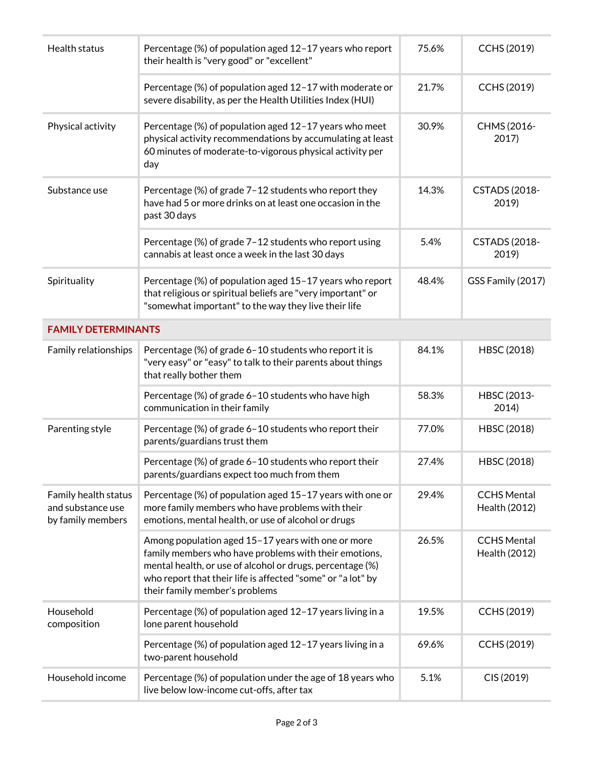| Health status                                                  | Percentage (%) of population aged 12-17 years who report<br>their health is "very good" or "excellent"                                                                                                                                                                    | 75.6% | CCHS (2019)                         |
|----------------------------------------------------------------|---------------------------------------------------------------------------------------------------------------------------------------------------------------------------------------------------------------------------------------------------------------------------|-------|-------------------------------------|
|                                                                | Percentage (%) of population aged 12-17 with moderate or<br>severe disability, as per the Health Utilities Index (HUI)                                                                                                                                                    | 21.7% | CCHS (2019)                         |
| Physical activity                                              | Percentage (%) of population aged 12-17 years who meet<br>physical activity recommendations by accumulating at least<br>60 minutes of moderate-to-vigorous physical activity per<br>day                                                                                   | 30.9% | CHMS (2016-<br>2017)                |
| Substance use                                                  | Percentage (%) of grade 7-12 students who report they<br>have had 5 or more drinks on at least one occasion in the<br>past 30 days                                                                                                                                        | 14.3% | <b>CSTADS (2018-</b><br>2019)       |
|                                                                | Percentage (%) of grade 7-12 students who report using<br>cannabis at least once a week in the last 30 days                                                                                                                                                               | 5.4%  | <b>CSTADS (2018-</b><br>2019)       |
| Spirituality                                                   | Percentage (%) of population aged 15-17 years who report<br>that religious or spiritual beliefs are "very important" or<br>"somewhat important" to the way they live their life                                                                                           | 48.4% | GSS Family (2017)                   |
| <b>FAMILY DETERMINANTS</b>                                     |                                                                                                                                                                                                                                                                           |       |                                     |
| Family relationships                                           | Percentage (%) of grade 6-10 students who report it is<br>"very easy" or "easy" to talk to their parents about things<br>that really bother them                                                                                                                          | 84.1% | HBSC (2018)                         |
|                                                                | Percentage (%) of grade 6-10 students who have high<br>communication in their family                                                                                                                                                                                      | 58.3% | HBSC (2013-<br>2014)                |
| Parenting style                                                | Percentage (%) of grade 6-10 students who report their<br>parents/guardians trust them                                                                                                                                                                                    | 77.0% | HBSC (2018)                         |
|                                                                | Percentage (%) of grade 6-10 students who report their<br>parents/guardians expect too much from them                                                                                                                                                                     | 27.4% | HBSC (2018)                         |
| Family health status<br>and substance use<br>by family members | Percentage (%) of population aged 15-17 years with one or<br>more family members who have problems with their<br>emotions, mental health, or use of alcohol or drugs                                                                                                      | 29.4% | <b>CCHS Mental</b><br>Health (2012) |
|                                                                | Among population aged 15-17 years with one or more<br>family members who have problems with their emotions,<br>mental health, or use of alcohol or drugs, percentage (%)<br>who report that their life is affected "some" or "a lot" by<br>their family member's problems | 26.5% | <b>CCHS Mental</b><br>Health (2012) |
| Household<br>composition                                       | Percentage (%) of population aged 12-17 years living in a<br>lone parent household                                                                                                                                                                                        | 19.5% | CCHS (2019)                         |
|                                                                | Percentage (%) of population aged 12-17 years living in a<br>two-parent household                                                                                                                                                                                         | 69.6% | CCHS (2019)                         |
| Household income                                               | Percentage (%) of population under the age of 18 years who<br>live below low-income cut-offs, after tax                                                                                                                                                                   | 5.1%  | CIS (2019)                          |